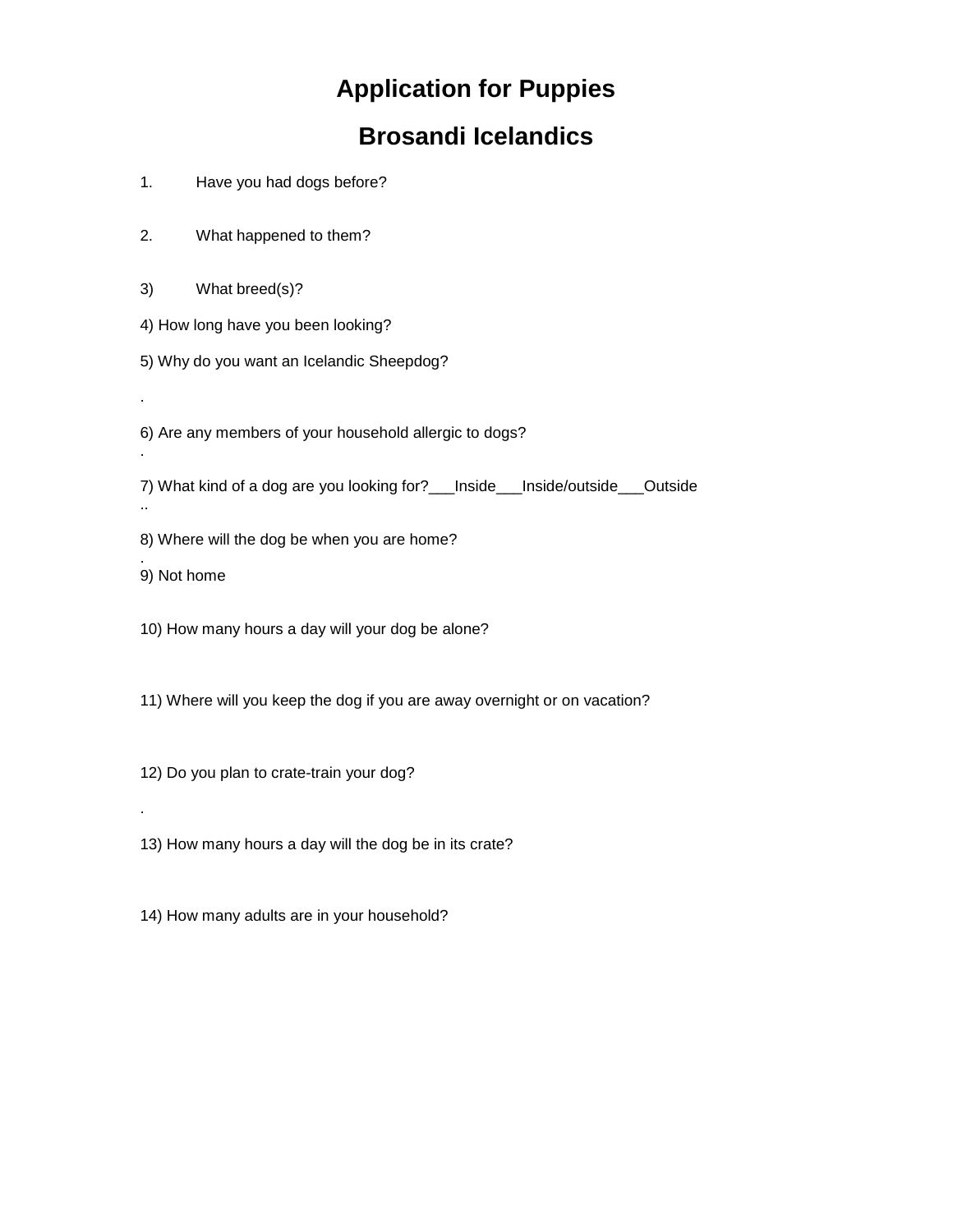## **Application for Puppies**

## **Brosandi Icelandics**

- 1. Have you had dogs before?
- 2. What happened to them?
- 3) What breed(s)?
- 4) How long have you been looking?
- 5) Why do you want an Icelandic Sheepdog?
- 6) Are any members of your household allergic to dogs?
- 7) What kind of a dog are you looking for?\_\_\_Inside\_\_\_Inside/outside\_\_\_Outside
- 8) Where will the dog be when you are home?
- . 9) Not home

.

.

..

.

- 10) How many hours a day will your dog be alone?
- 11) Where will you keep the dog if you are away overnight or on vacation?
- 12) Do you plan to crate-train your dog?
- 13) How many hours a day will the dog be in its crate?
- 14) How many adults are in your household?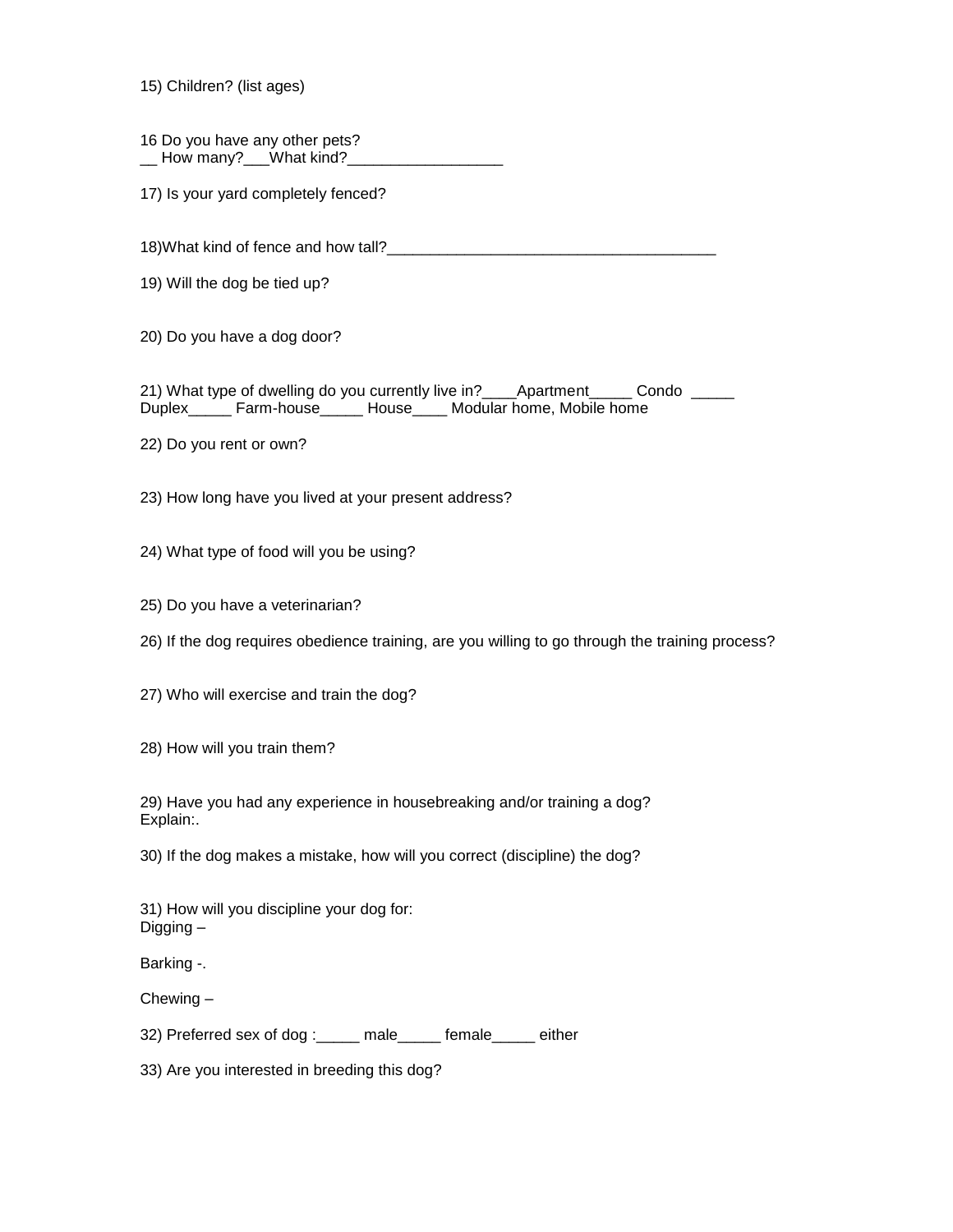15) Children? (list ages)

16 Do you have any other pets? \_\_ How many?\_\_\_What kind?\_\_\_\_\_\_\_\_\_\_\_\_\_\_\_\_\_\_

17) Is your yard completely fenced?

18)What kind of fence and how tall?\_\_\_\_\_\_\_\_\_\_\_\_\_\_\_\_\_\_\_\_\_\_\_\_\_\_\_\_\_\_\_\_\_\_\_\_\_\_

19) Will the dog be tied up?

20) Do you have a dog door?

21) What type of dwelling do you currently live in? \_\_\_\_Apartment \_\_\_\_\_ Condo \_\_\_\_\_ Duplex\_\_\_\_\_ Farm-house\_\_\_\_\_ House\_\_\_\_ Modular home, Mobile home

22) Do you rent or own?

23) How long have you lived at your present address?

24) What type of food will you be using?

25) Do you have a veterinarian?

26) If the dog requires obedience training, are you willing to go through the training process?

27) Who will exercise and train the dog?

28) How will you train them?

29) Have you had any experience in housebreaking and/or training a dog? Explain:.

30) If the dog makes a mistake, how will you correct (discipline) the dog?

31) How will you discipline your dog for: Digging –

Barking -.

Chewing –

32) Preferred sex of dog :\_\_\_\_\_ male\_\_\_\_\_ female either

33) Are you interested in breeding this dog?